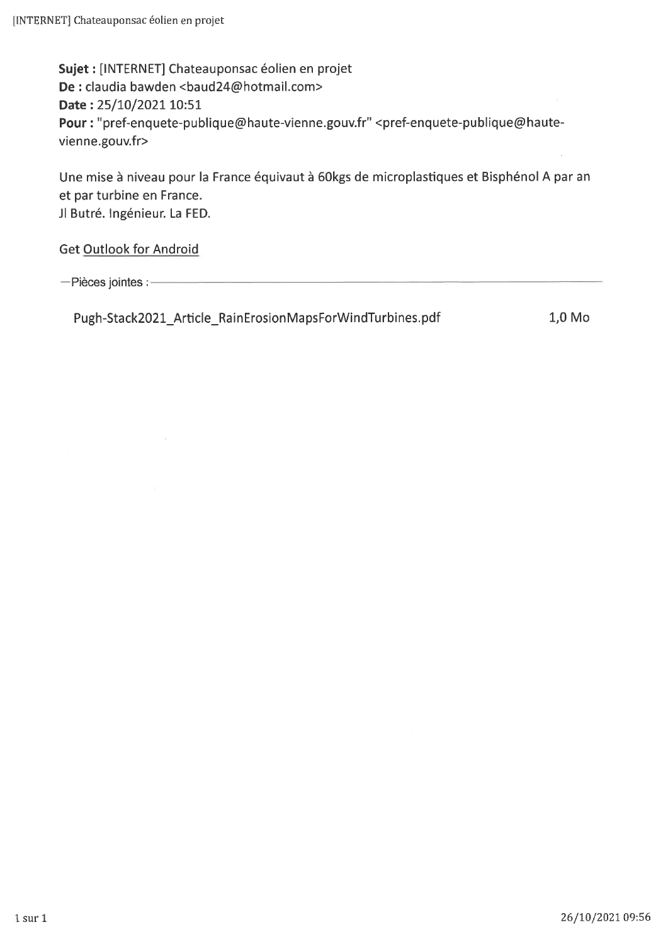Sujet : [INTERNET] Chateauponsac éolien en projet De : claudia bawden <br/> <br/>baud24@hotmail.com> Date: 25/10/2021 10:51 Pour : "pref-enquete-publique@haute-vienne.gouv.fr" <pref-enquete-publique@hautevienne.gouv.fr>

Une mise à niveau pour la France équivaut à 60kgs de microplastiques et Bisphénol A par an et par turbine en France. Jl Butré. Ingénieur. La FED.

Get Outlook for Android

-Pièces jointes :-

Pugh-Stack2021\_Article\_RainErosionMapsForWindTurbines.pdf

1,0 Mo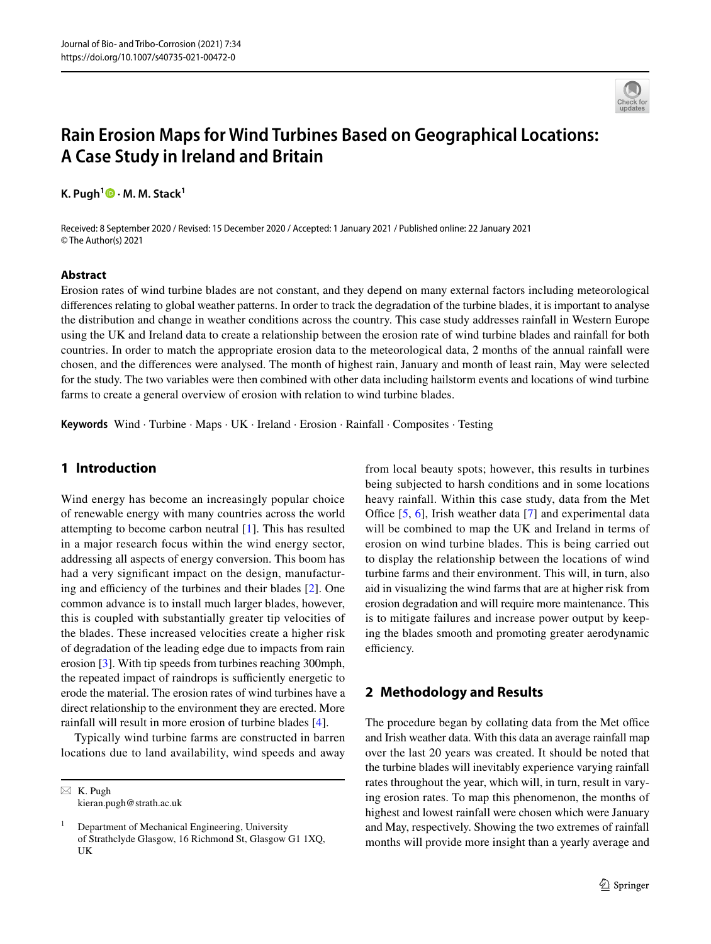

# **Rain Erosion Maps for Wind Turbines Based on Geographical Locations: A Case Study in Ireland and Britain**

**K. Pugh1  [·](http://orcid.org/0000-0001-5875-5228) M. M. Stack1**

Received: 8 September 2020 / Revised: 15 December 2020 / Accepted: 1 January 2021 / Published online: 22 January 2021 © The Author(s) 2021

#### **Abstract**

Erosion rates of wind turbine blades are not constant, and they depend on many external factors including meteorological diferences relating to global weather patterns. In order to track the degradation of the turbine blades, it is important to analyse the distribution and change in weather conditions across the country. This case study addresses rainfall in Western Europe using the UK and Ireland data to create a relationship between the erosion rate of wind turbine blades and rainfall for both countries. In order to match the appropriate erosion data to the meteorological data, 2 months of the annual rainfall were chosen, and the diferences were analysed. The month of highest rain, January and month of least rain, May were selected for the study. The two variables were then combined with other data including hailstorm events and locations of wind turbine farms to create a general overview of erosion with relation to wind turbine blades.

**Keywords** Wind · Turbine · Maps · UK · Ireland · Erosion · Rainfall · Composites · Testing

### **1 Introduction**

Wind energy has become an increasingly popular choice of renewable energy with many countries across the world attempting to become carbon neutral [\[1](#page-7-0)]. This has resulted in a major research focus within the wind energy sector, addressing all aspects of energy conversion. This boom has had a very signifcant impact on the design, manufacturing and efficiency of the turbines and their blades  $[2]$  $[2]$ . One common advance is to install much larger blades, however, this is coupled with substantially greater tip velocities of the blades. These increased velocities create a higher risk of degradation of the leading edge due to impacts from rain erosion [[3\]](#page-7-2). With tip speeds from turbines reaching 300mph, the repeated impact of raindrops is sufficiently energetic to erode the material. The erosion rates of wind turbines have a direct relationship to the environment they are erected. More rainfall will result in more erosion of turbine blades [[4\]](#page-7-3).

Typically wind turbine farms are constructed in barren locations due to land availability, wind speeds and away

 $\boxtimes$  K. Pugh kieran.pugh@strath.ac.uk from local beauty spots; however, this results in turbines being subjected to harsh conditions and in some locations heavy rainfall. Within this case study, data from the Met Office  $[5, 6]$  $[5, 6]$  $[5, 6]$ , Irish weather data  $[7]$  $[7]$  $[7]$  and experimental data will be combined to map the UK and Ireland in terms of erosion on wind turbine blades. This is being carried out to display the relationship between the locations of wind turbine farms and their environment. This will, in turn, also aid in visualizing the wind farms that are at higher risk from erosion degradation and will require more maintenance. This is to mitigate failures and increase power output by keeping the blades smooth and promoting greater aerodynamic efficiency.

## **2 Methodology and Results**

The procedure began by collating data from the Met office and Irish weather data. With this data an average rainfall map over the last 20 years was created. It should be noted that the turbine blades will inevitably experience varying rainfall rates throughout the year, which will, in turn, result in varying erosion rates. To map this phenomenon, the months of highest and lowest rainfall were chosen which were January and May, respectively. Showing the two extremes of rainfall months will provide more insight than a yearly average and

<sup>1</sup> Department of Mechanical Engineering, University of Strathclyde Glasgow, 16 Richmond St, Glasgow G1 1XQ, UK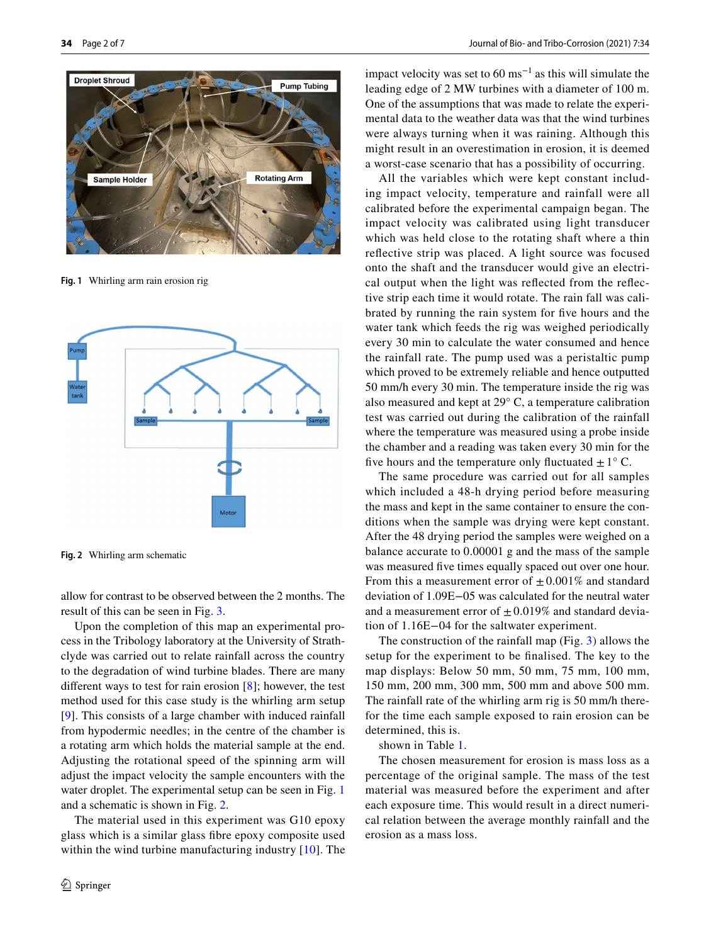

**Fig. 1** Whirling arm rain erosion rig

<span id="page-2-0"></span>

<span id="page-2-1"></span>**Fig. 2** Whirling arm schematic

allow for contrast to be observed between the 2 months. The result of this can be seen in Fig. [3.](#page-3-0)

Upon the completion of this map an experimental process in the Tribology laboratory at the University of Strathclyde was carried out to relate rainfall across the country to the degradation of wind turbine blades. There are many diferent ways to test for rain erosion [[8\]](#page-7-7); however, the test method used for this case study is the whirling arm setup [\[9\]](#page-7-8). This consists of a large chamber with induced rainfall from hypodermic needles; in the centre of the chamber is a rotating arm which holds the material sample at the end. Adjusting the rotational speed of the spinning arm will adjust the impact velocity the sample encounters with the water droplet. The experimental setup can be seen in Fig. [1](#page-2-0) and a schematic is shown in Fig. [2](#page-2-1).

The material used in this experiment was G10 epoxy glass which is a similar glass fbre epoxy composite used within the wind turbine manufacturing industry [\[10\]](#page-7-9). The impact velocity was set to  $60 \text{ ms}^{-1}$  as this will simulate the leading edge of 2 MW turbines with a diameter of 100 m. One of the assumptions that was made to relate the experimental data to the weather data was that the wind turbines were always turning when it was raining. Although this might result in an overestimation in erosion, it is deemed a worst-case scenario that has a possibility of occurring.

All the variables which were kept constant including impact velocity, temperature and rainfall were all calibrated before the experimental campaign began. The impact velocity was calibrated using light transducer which was held close to the rotating shaft where a thin refective strip was placed. A light source was focused onto the shaft and the transducer would give an electrical output when the light was refected from the refective strip each time it would rotate. The rain fall was calibrated by running the rain system for fve hours and the water tank which feeds the rig was weighed periodically every 30 min to calculate the water consumed and hence the rainfall rate. The pump used was a peristaltic pump which proved to be extremely reliable and hence outputted 50 mm/h every 30 min. The temperature inside the rig was also measured and kept at 29° C, a temperature calibration test was carried out during the calibration of the rainfall where the temperature was measured using a probe inside the chamber and a reading was taken every 30 min for the five hours and the temperature only fluctuated  $\pm 1^{\circ}$  C.

The same procedure was carried out for all samples which included a 48-h drying period before measuring the mass and kept in the same container to ensure the conditions when the sample was drying were kept constant. After the 48 drying period the samples were weighed on a balance accurate to 0.00001 g and the mass of the sample was measured fve times equally spaced out over one hour. From this a measurement error of  $\pm 0.001\%$  and standard deviation of 1.09E−05 was calculated for the neutral water and a measurement error of  $\pm 0.019\%$  and standard deviation of 1.16E−04 for the saltwater experiment.

The construction of the rainfall map (Fig. [3\)](#page-3-0) allows the setup for the experiment to be fnalised. The key to the map displays: Below 50 mm, 50 mm, 75 mm, 100 mm, 150 mm, 200 mm, 300 mm, 500 mm and above 500 mm. The rainfall rate of the whirling arm rig is 50 mm/h therefor the time each sample exposed to rain erosion can be determined, this is.

shown in Table [1.](#page-3-1)

The chosen measurement for erosion is mass loss as a percentage of the original sample. The mass of the test material was measured before the experiment and after each exposure time. This would result in a direct numerical relation between the average monthly rainfall and the erosion as a mass loss.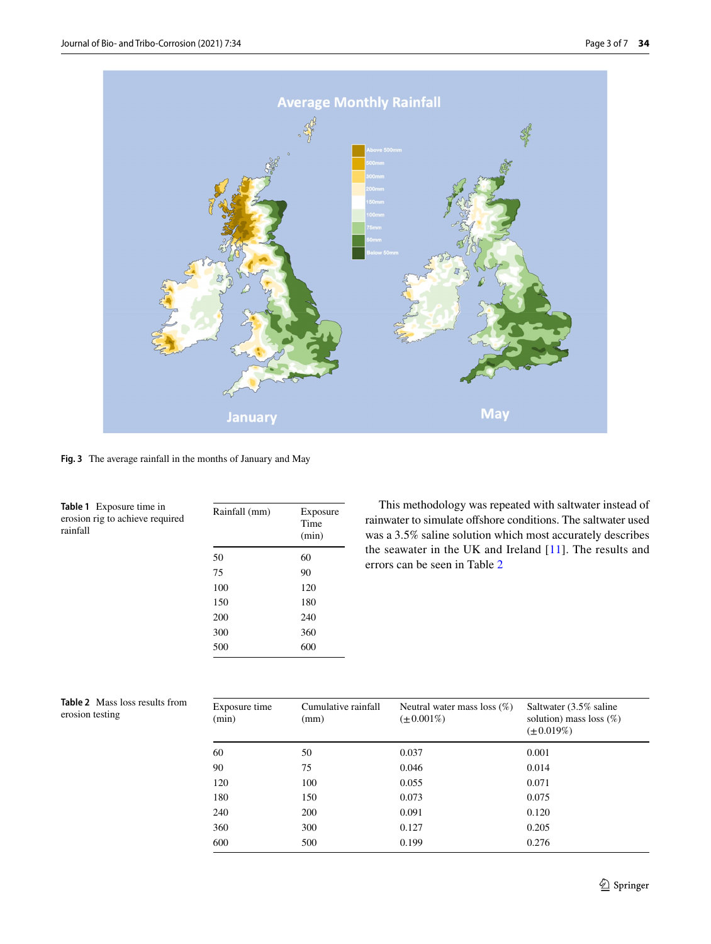

**Fig. 3** The average rainfall in the months of January and May

<span id="page-3-1"></span><span id="page-3-0"></span>

| <b>Table 1</b> Exposure time in<br>erosion rig to achieve required<br>rainfall | Rainfall (mm)<br>Exposure<br>Time<br>(min) |     |
|--------------------------------------------------------------------------------|--------------------------------------------|-----|
|                                                                                | 50                                         | 60  |
|                                                                                | 75                                         | 90  |
|                                                                                | 100                                        | 120 |
|                                                                                | 150                                        | 180 |
|                                                                                | 200                                        | 240 |
|                                                                                | 300                                        | 360 |
|                                                                                | 500                                        | 600 |
|                                                                                |                                            |     |

This methodology was repeated with saltwater instead of rainwater to simulate ofshore conditions. The saltwater used was a 3.5% saline solution which most accurately describes the seawater in the UK and Ireland [\[11\]](#page-7-10). The results and errors can be seen in Table [2](#page-3-2)

<span id="page-3-2"></span>

| <b>Table 2</b> Mass loss results from | Exposure time |
|---------------------------------------|---------------|
| erosion testing                       | (min)         |

| Exposure time<br>(min) | Cumulative rainfall<br>(mm) | Neutral water mass loss $(\%)$<br>$(\pm 0.001\%)$ | Saltwater (3.5% saline<br>solution) mass loss $(\%)$<br>$(\pm 0.019\%)$ |
|------------------------|-----------------------------|---------------------------------------------------|-------------------------------------------------------------------------|
| 60                     | 50                          | 0.037                                             | 0.001                                                                   |
| 90                     | 75                          | 0.046                                             | 0.014                                                                   |
| 120                    | 100                         | 0.055                                             | 0.071                                                                   |
| 180                    | 150                         | 0.073                                             | 0.075                                                                   |
| 240                    | 200                         | 0.091                                             | 0.120                                                                   |
| 360                    | 300                         | 0.127                                             | 0.205                                                                   |
| 600                    | 500                         | 0.199                                             | 0.276                                                                   |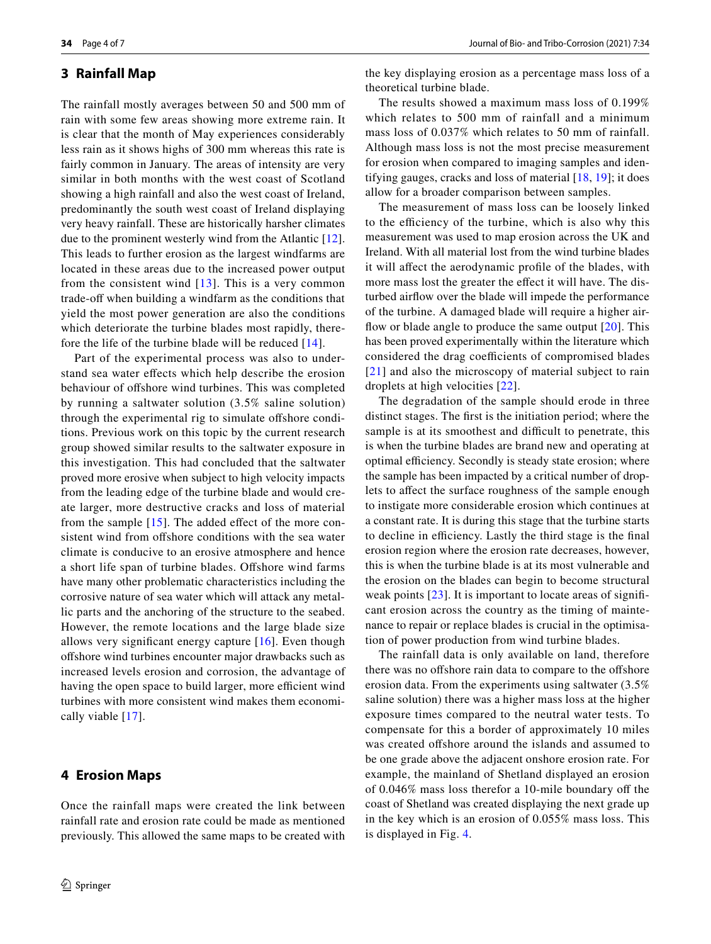#### **3 Rainfall Map**

The rainfall mostly averages between 50 and 500 mm of rain with some few areas showing more extreme rain. It is clear that the month of May experiences considerably less rain as it shows highs of 300 mm whereas this rate is fairly common in January. The areas of intensity are very similar in both months with the west coast of Scotland showing a high rainfall and also the west coast of Ireland, predominantly the south west coast of Ireland displaying very heavy rainfall. These are historically harsher climates due to the prominent westerly wind from the Atlantic [\[12](#page-7-11)]. This leads to further erosion as the largest windfarms are located in these areas due to the increased power output from the consistent wind  $[13]$  $[13]$ . This is a very common trade-off when building a windfarm as the conditions that yield the most power generation are also the conditions which deteriorate the turbine blades most rapidly, therefore the life of the turbine blade will be reduced  $[14]$ .

Part of the experimental process was also to understand sea water efects which help describe the erosion behaviour of ofshore wind turbines. This was completed by running a saltwater solution (3.5% saline solution) through the experimental rig to simulate offshore conditions. Previous work on this topic by the current research group showed similar results to the saltwater exposure in this investigation. This had concluded that the saltwater proved more erosive when subject to high velocity impacts from the leading edge of the turbine blade and would create larger, more destructive cracks and loss of material from the sample  $[15]$  $[15]$ . The added effect of the more consistent wind from offshore conditions with the sea water climate is conducive to an erosive atmosphere and hence a short life span of turbine blades. Offshore wind farms have many other problematic characteristics including the corrosive nature of sea water which will attack any metallic parts and the anchoring of the structure to the seabed. However, the remote locations and the large blade size allows very signifcant energy capture [[16](#page-7-15)]. Even though ofshore wind turbines encounter major drawbacks such as increased levels erosion and corrosion, the advantage of having the open space to build larger, more efficient wind turbines with more consistent wind makes them economically viable [\[17\]](#page-7-16).

#### **4 Erosion Maps**

Once the rainfall maps were created the link between rainfall rate and erosion rate could be made as mentioned previously. This allowed the same maps to be created with the key displaying erosion as a percentage mass loss of a theoretical turbine blade.

The results showed a maximum mass loss of 0.199% which relates to 500 mm of rainfall and a minimum mass loss of 0.037% which relates to 50 mm of rainfall. Although mass loss is not the most precise measurement for erosion when compared to imaging samples and identifying gauges, cracks and loss of material [\[18,](#page-7-17) [19\]](#page-7-18); it does allow for a broader comparison between samples.

The measurement of mass loss can be loosely linked to the efficiency of the turbine, which is also why this measurement was used to map erosion across the UK and Ireland. With all material lost from the wind turbine blades it will afect the aerodynamic profle of the blades, with more mass lost the greater the effect it will have. The disturbed airfow over the blade will impede the performance of the turbine. A damaged blade will require a higher airflow or blade angle to produce the same output  $[20]$  $[20]$  $[20]$ . This has been proved experimentally within the literature which considered the drag coefficients of compromised blades [[21](#page-7-20)] and also the microscopy of material subject to rain droplets at high velocities [[22](#page-7-21)].

The degradation of the sample should erode in three distinct stages. The frst is the initiation period; where the sample is at its smoothest and difficult to penetrate, this is when the turbine blades are brand new and operating at optimal efficiency. Secondly is steady state erosion; where the sample has been impacted by a critical number of droplets to afect the surface roughness of the sample enough to instigate more considerable erosion which continues at a constant rate. It is during this stage that the turbine starts to decline in efficiency. Lastly the third stage is the final erosion region where the erosion rate decreases, however, this is when the turbine blade is at its most vulnerable and the erosion on the blades can begin to become structural weak points [[23\]](#page-7-22). It is important to locate areas of significant erosion across the country as the timing of maintenance to repair or replace blades is crucial in the optimisation of power production from wind turbine blades.

The rainfall data is only available on land, therefore there was no offshore rain data to compare to the offshore erosion data. From the experiments using saltwater (3.5% saline solution) there was a higher mass loss at the higher exposure times compared to the neutral water tests. To compensate for this a border of approximately 10 miles was created offshore around the islands and assumed to be one grade above the adjacent onshore erosion rate. For example, the mainland of Shetland displayed an erosion of 0.046% mass loss therefor a 10-mile boundary of the coast of Shetland was created displaying the next grade up in the key which is an erosion of 0.055% mass loss. This is displayed in Fig. [4.](#page-5-0)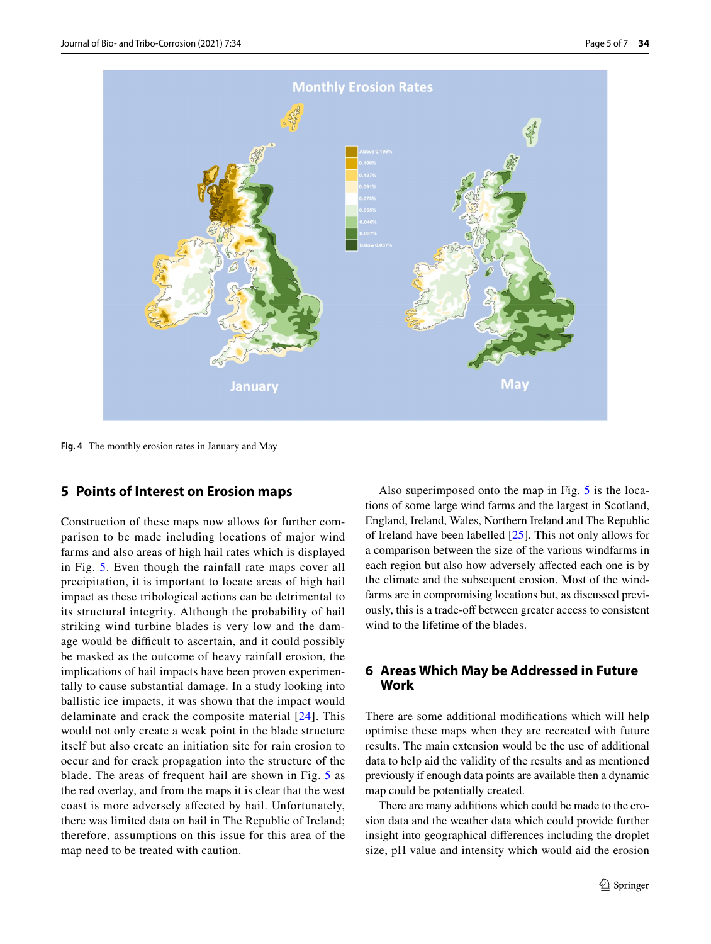

<span id="page-5-0"></span>**Fig. 4** The monthly erosion rates in January and May

#### **5 Points of Interest on Erosion maps**

Construction of these maps now allows for further comparison to be made including locations of major wind farms and also areas of high hail rates which is displayed in Fig. [5](#page-6-0). Even though the rainfall rate maps cover all precipitation, it is important to locate areas of high hail impact as these tribological actions can be detrimental to its structural integrity. Although the probability of hail striking wind turbine blades is very low and the damage would be difficult to ascertain, and it could possibly be masked as the outcome of heavy rainfall erosion, the implications of hail impacts have been proven experimentally to cause substantial damage. In a study looking into ballistic ice impacts, it was shown that the impact would delaminate and crack the composite material [\[24\]](#page-7-23). This would not only create a weak point in the blade structure itself but also create an initiation site for rain erosion to occur and for crack propagation into the structure of the blade. The areas of frequent hail are shown in Fig. [5](#page-6-0) as the red overlay, and from the maps it is clear that the west coast is more adversely afected by hail. Unfortunately, there was limited data on hail in The Republic of Ireland; therefore, assumptions on this issue for this area of the map need to be treated with caution.

Also superimposed onto the map in Fig. [5](#page-6-0) is the locations of some large wind farms and the largest in Scotland, England, Ireland, Wales, Northern Ireland and The Republic of Ireland have been labelled [\[25](#page-7-24)]. This not only allows for a comparison between the size of the various windfarms in each region but also how adversely afected each one is by the climate and the subsequent erosion. Most of the windfarms are in compromising locations but, as discussed previously, this is a trade-off between greater access to consistent wind to the lifetime of the blades.

### **6 Areas Which May be Addressed in Future Work**

There are some additional modifcations which will help optimise these maps when they are recreated with future results. The main extension would be the use of additional data to help aid the validity of the results and as mentioned previously if enough data points are available then a dynamic map could be potentially created.

There are many additions which could be made to the erosion data and the weather data which could provide further insight into geographical diferences including the droplet size, pH value and intensity which would aid the erosion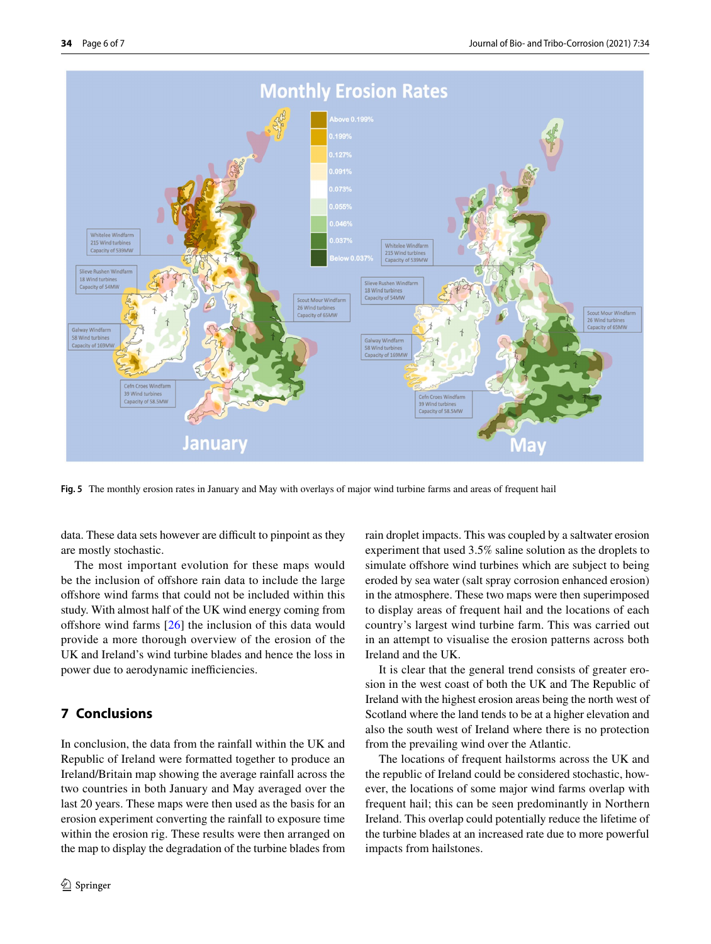

<span id="page-6-0"></span>**Fig. 5** The monthly erosion rates in January and May with overlays of major wind turbine farms and areas of frequent hail

data. These data sets however are difficult to pinpoint as they are mostly stochastic.

The most important evolution for these maps would be the inclusion of ofshore rain data to include the large ofshore wind farms that could not be included within this study. With almost half of the UK wind energy coming from offshore wind farms  $[26]$  $[26]$  $[26]$  the inclusion of this data would provide a more thorough overview of the erosion of the UK and Ireland's wind turbine blades and hence the loss in power due to aerodynamic inefficiencies.

#### **7 Conclusions**

In conclusion, the data from the rainfall within the UK and Republic of Ireland were formatted together to produce an Ireland/Britain map showing the average rainfall across the two countries in both January and May averaged over the last 20 years. These maps were then used as the basis for an erosion experiment converting the rainfall to exposure time within the erosion rig. These results were then arranged on the map to display the degradation of the turbine blades from rain droplet impacts. This was coupled by a saltwater erosion experiment that used 3.5% saline solution as the droplets to simulate offshore wind turbines which are subject to being eroded by sea water (salt spray corrosion enhanced erosion) in the atmosphere. These two maps were then superimposed to display areas of frequent hail and the locations of each country's largest wind turbine farm. This was carried out in an attempt to visualise the erosion patterns across both Ireland and the UK.

It is clear that the general trend consists of greater erosion in the west coast of both the UK and The Republic of Ireland with the highest erosion areas being the north west of Scotland where the land tends to be at a higher elevation and also the south west of Ireland where there is no protection from the prevailing wind over the Atlantic.

The locations of frequent hailstorms across the UK and the republic of Ireland could be considered stochastic, however, the locations of some major wind farms overlap with frequent hail; this can be seen predominantly in Northern Ireland. This overlap could potentially reduce the lifetime of the turbine blades at an increased rate due to more powerful impacts from hailstones.